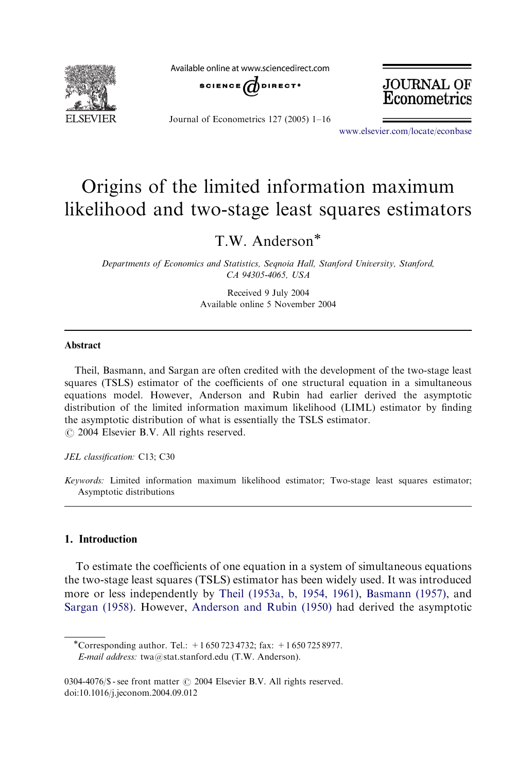

Available online at www.sciencedirect.com





Journal of Econometrics 127 (2005) 1–16

www.elsevier.com/locate/econbase

# Origins of the limited information maximum likelihood and two-stage least squares estimators

T.W. Anderson

Departments of Economics and Statistics, Seqnoia Hall, Stanford University, Stanford, CA 94305-4065, USA

> Received 9 July 2004 Available online 5 November 2004

#### Abstract

Theil, Basmann, and Sargan are often credited with the development of the two-stage least squares (TSLS) estimator of the coefficients of one structural equation in a simultaneous equations model. However, Anderson and Rubin had earlier derived the asymptotic distribution of the limited information maximum likelihood (LIML) estimator by finding the asymptotic distribution of what is essentially the TSLS estimator.  $\odot$  2004 Elsevier B.V. All rights reserved.

JEL classification: C13; C30

Keywords: Limited information maximum likelihood estimator; Two-stage least squares estimator; Asymptotic distributions

## [1. Introduction](#page-15-0)

To estimate the coefficients of one equation in a system of simultaneous equations the two-stage least squares (TSLS) estimator has been widely used. It was introduced more or less independently by Theil (1953a, b, 1954, 1961), Basmann (1957), and Sargan (1958). However, Anderson and Rubin (1950) had derived the asymptotic

\*Corresponding author. Tel.:  $+16507234732$ ; fax:  $+16507258977$ . E-mail address: twa@stat.stanford.edu (T.W. Anderson).

<sup>0304-4076/\$ -</sup> see front matter  $\odot$  2004 Elsevier B.V. All rights reserved. doi:10.1016/j.jeconom.2004.09.012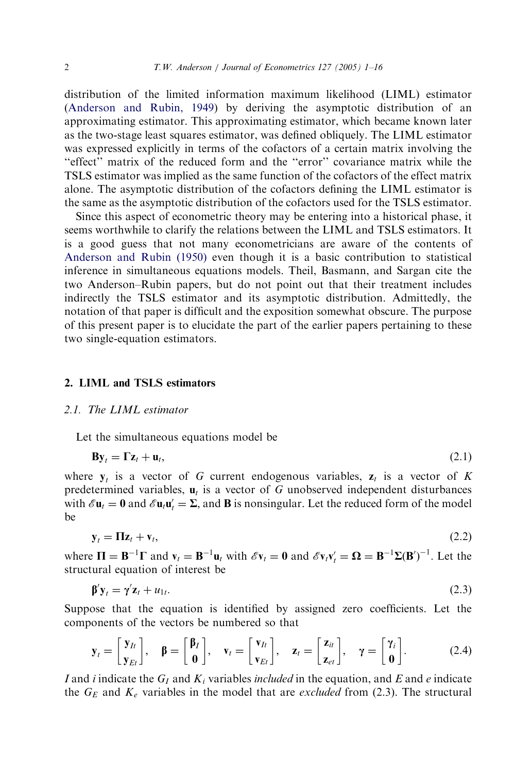distribution of the limited information maximum likelihood (LIML) estimator (Anderson and Rubin, 1949) by deriving the asymptotic distribution of an approximating estimator. This approximating estimator, which became known later as the two-stage least squares estimator, was defined obliquely. The LIML estimator was expressed explicitly in terms of the cofactors of a certain matrix involving the ''effect'' matrix of the reduced form and the ''error'' covariance matrix while the TSLS estimator was implied as the same function of the cofactors of the effect matrix [alone. The asymptotic distrib](#page-15-0)ution of the cofactors defining the LIML estimator is the same as the asymptotic distribution of the cofactors used for the TSLS estimator.

Since this aspect of econometric theory may be entering into a historical phase, it seems worthwhile to clarify the relations between the LIML and TSLS estimators. It is a good guess that not many econometricians are aware of the contents of Anderson and Rubin (1950) even though it is a basic contribution to statistical inference in simultaneous equations models. Theil, Basmann, and Sargan cite the two Anderson–Rubin papers, but do not point out that their treatment includes indirectly the TSLS estimator and its asymptotic distribution. Admittedly, the notation of that paper is difficult and the exposition somewhat obscure. The purpose of this present paper is to elucidate the part of the earlier papers pertaining to these two single-equation estimators.

#### 2. LIML and TSLS estimators

#### 2.1. The LIML estimator

Let the simultaneous equations model be

$$
\mathbf{B}\mathbf{y}_t = \mathbf{\Gamma}\mathbf{z}_t + \mathbf{u}_t,\tag{2.1}
$$

where  $y_t$  is a vector of G current endogenous variables,  $z_t$  is a vector of K predetermined variables,  $\mathbf{u}_t$  is a vector of G unobserved independent disturbances with  $\mathscr{E} \mathbf{u}_t = \mathbf{0}$  and  $\mathscr{E} \mathbf{u}_t \mathbf{u}'_t = \Sigma$ , and **B** is nonsingular. Let the reduced form of the model be

$$
\mathbf{y}_t = \mathbf{\Pi} \mathbf{z}_t + \mathbf{v}_t,\tag{2.2}
$$

where  $\Pi = \mathbf{B}^{-1}\Gamma$  and  $\mathbf{v}_t = \mathbf{B}^{-1}\mathbf{u}_t$  with  $\mathscr{E}\mathbf{v}_t = \mathbf{0}$  and  $\mathscr{E}\mathbf{v}_t\mathbf{v}'_t = \mathbf{\Omega} = \mathbf{B}^{-1}\Sigma(\mathbf{B}')^{-1}$ . Let the structural equation of interest be

$$
\mathbf{\beta}'\mathbf{y}_t = \mathbf{\gamma}'\mathbf{z}_t + u_{1t}.\tag{2.3}
$$

Suppose that the equation is identified by assigned zero coefficients. Let the components of the vectors be numbered so that

$$
\mathbf{y}_{t} = \begin{bmatrix} \mathbf{y}_{It} \\ \mathbf{y}_{Et} \end{bmatrix}, \quad \boldsymbol{\beta} = \begin{bmatrix} \boldsymbol{\beta}_{I} \\ \mathbf{0} \end{bmatrix}, \quad \mathbf{v}_{t} = \begin{bmatrix} \mathbf{v}_{It} \\ \mathbf{v}_{Et} \end{bmatrix}, \quad \mathbf{z}_{t} = \begin{bmatrix} \mathbf{z}_{it} \\ \mathbf{z}_{et} \end{bmatrix}, \quad \gamma = \begin{bmatrix} \gamma_{i} \\ \mathbf{0} \end{bmatrix}.
$$
 (2.4)

I and i indicate the  $G_I$  and  $K_i$  variables included in the equation, and E and e indicate the  $G_E$  and  $K_e$  variables in the model that are *excluded* from (2.3). The structural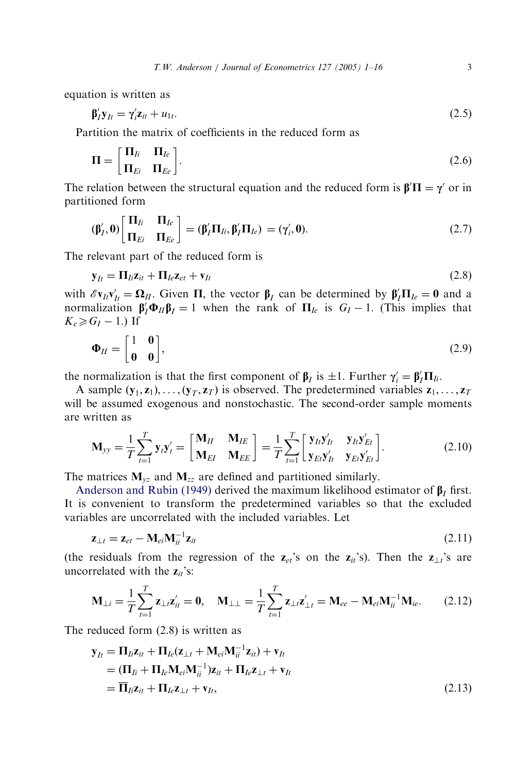equation is written as

$$
\beta_I' \mathbf{y}_{It} = \gamma_i' \mathbf{z}_{it} + u_{1t}.\tag{2.5}
$$

Partition the matrix of coefficients in the reduced form as

$$
\Pi = \begin{bmatrix} \Pi_{Ii} & \Pi_{Ie} \\ \Pi_{Ei} & \Pi_{Ee} \end{bmatrix}.
$$
 (2.6)

The relation between the structural equation and the reduced form is  $\beta' \Pi = \gamma'$  or in partitioned form

$$
(\boldsymbol{\beta}'_I, \mathbf{0}) \begin{bmatrix} \Pi_{Ii} & \Pi_{Ie} \\ \Pi_{Ei} & \Pi_{Ee} \end{bmatrix} = (\boldsymbol{\beta}'_I \Pi_{Ii}, \boldsymbol{\beta}'_I \Pi_{Ie}) = (\gamma'_i, \mathbf{0}).
$$
 (2.7)

The relevant part of the reduced form is

$$
\mathbf{y}_{It} = \mathbf{\Pi}_{Ii} \mathbf{z}_{it} + \mathbf{\Pi}_{Ie} \mathbf{z}_{et} + \mathbf{v}_{It}
$$
(2.8)

with  $\mathscr{E} \mathbf{v}_{It} \mathbf{v}'_{It} = \mathbf{\Omega}_{II}$ . Given  $\Pi$ , the vector  $\beta_I$  can be determined by  $\beta_I' \Pi_{Ie} = 0$  and a normalization  $\beta'_I \Phi_{II} \beta_I = 1$  when the rank of  $\Pi_{Ie}$  is  $G_I - 1$ . (This implies that  $K_e \ge G_I - 1$ .) If

$$
\mathbf{\Phi}_{II} = \begin{bmatrix} 1 & \mathbf{0} \\ \mathbf{0} & \mathbf{0} \end{bmatrix},\tag{2.9}
$$

the normalization is that the first component of  $\beta_I$  is  $\pm 1$ . Further  $\gamma_i' = \beta_I' \Pi_{Ii}$ .

A sample  $(y_1, z_1), \ldots, (y_T, z_T)$  is observed. The predetermined variables  $z_1, \ldots, z_T$ will be assumed exogenous and nonstochastic. The second-order sample moments ar[e written as](#page-15-0)

$$
\mathbf{M}_{yy} = \frac{1}{T} \sum_{t=1}^{T} \mathbf{y}_t \mathbf{y}_t' = \begin{bmatrix} \mathbf{M}_{II} & \mathbf{M}_{IE} \\ \mathbf{M}_{EI} & \mathbf{M}_{EE} \end{bmatrix} = \frac{1}{T} \sum_{t=1}^{T} \begin{bmatrix} \mathbf{y}_{It} \mathbf{y}_{It}' & \mathbf{y}_{It} \mathbf{y}_{Et}' \\ \mathbf{y}_{Et} \mathbf{y}_{It}' & \mathbf{y}_{EI} \mathbf{y}_{Et}' \end{bmatrix}.
$$
(2.10)

The matrices  $M_{yz}$  and  $M_{zz}$  are defined and partitioned similarly.

Anderson and Rubin (1949) derived the maximum likelihood estimator of  $\beta_I$  first. It is convenient to transform the predetermined variables so that the excluded variables are uncorrelated with the included variables. Let

$$
\mathbf{z}_{\perp t} = \mathbf{z}_{et} - \mathbf{M}_{ei} \mathbf{M}_{ii}^{-1} \mathbf{z}_{it}
$$
 (2.11)

(the residuals from the regression of the  $z_{et}$ 's on the  $z_{it}$ 's). Then the  $z_{\perp t}$ 's are uncorrelated with the  $z_{it}$ 's:

$$
\mathbf{M}_{\perp i} = \frac{1}{T} \sum_{t=1}^{T} \mathbf{z}_{\perp t} \mathbf{z}'_{it} = \mathbf{0}, \quad \mathbf{M}_{\perp \perp} = \frac{1}{T} \sum_{t=1}^{T} \mathbf{z}_{\perp t} \mathbf{z}'_{\perp t} = \mathbf{M}_{ee} - \mathbf{M}_{ei} \mathbf{M}_{ii}^{-1} \mathbf{M}_{ie}.
$$
 (2.12)

The reduced form (2.8) is written as

$$
\mathbf{y}_{It} = \mathbf{\Pi}_{li}\mathbf{z}_{it} + \mathbf{\Pi}_{le}(\mathbf{z}_{\perp t} + \mathbf{M}_{ei}\mathbf{M}_{ii}^{-1}\mathbf{z}_{it}) + \mathbf{v}_{It}
$$
  
= (\mathbf{\Pi}\_{li} + \mathbf{\Pi}\_{le}\mathbf{M}\_{ei}\mathbf{M}\_{ii}^{-1})\mathbf{z}\_{it} + \mathbf{\Pi}\_{le}\mathbf{z}\_{\perp t} + \mathbf{v}\_{It}  
= \overline{\mathbf{\Pi}}\_{li}\mathbf{z}\_{it} + \mathbf{\Pi}\_{le}\mathbf{z}\_{\perp t} + \mathbf{v}\_{It}, \qquad (2.13)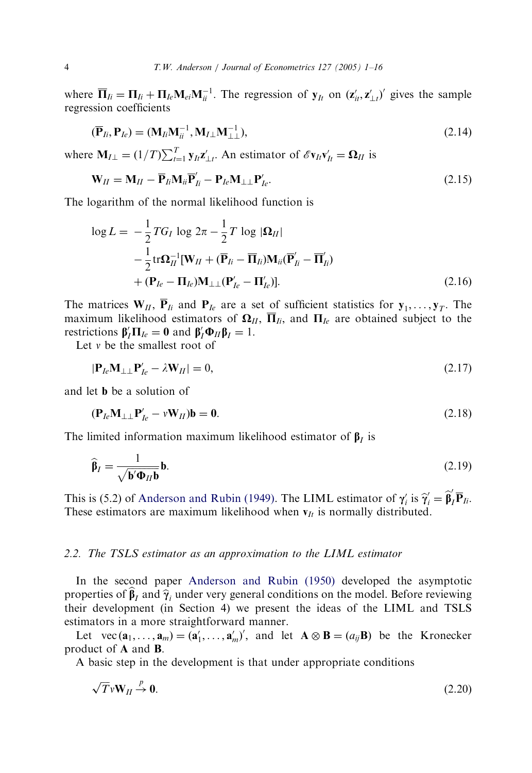where  $\overline{\mathbf{\Pi}}_{Ii} = \mathbf{\Pi}_{Ii} + \mathbf{\Pi}_{Ie} \mathbf{M}_{ei} \mathbf{M}_{ii}^{-1}$ . The regression of  $\mathbf{y}_{It}$  on  $(\mathbf{z}'_{it}, \mathbf{z}'_{\perp t})'$  gives the sample regression coefficients

$$
(\overline{\mathbf{P}}_{Ii}, \mathbf{P}_{Ie}) = (\mathbf{M}_{Ii} \mathbf{M}_{ii}^{-1}, \mathbf{M}_{I\perp} \mathbf{M}_{\perp\perp}^{-1}),
$$
\n(2.14)

where  $M_{I\perp} = (1/T)\sum_{t=1}^{T} y_{It} z_{\perp t}'$ . An estimator of  $\mathscr{E}v_{It} v'_{It} = \mathbf{\Omega}_{II}$  is

$$
\mathbf{W}_{II} = \mathbf{M}_{II} - \overline{\mathbf{P}}_{II} \mathbf{M}_{ii} \overline{\mathbf{P}}'_{II} - \mathbf{P}_{Ie} \mathbf{M}_{\perp \perp} \mathbf{P}'_{Ie}.
$$
\n(2.15)

The logarithm of the normal likelihood function is

$$
\log L = -\frac{1}{2} T G_I \log 2\pi - \frac{1}{2} T \log |\mathbf{\Omega}_{II}|
$$
  

$$
-\frac{1}{2} \text{tr} \mathbf{\Omega}_{II}^{-1} [\mathbf{W}_{II} + (\overline{\mathbf{P}}_{Ii} - \overline{\mathbf{\Pi}}_{Ii}) \mathbf{M}_{ii} (\overline{\mathbf{P}}'_{Ii} - \overline{\mathbf{\Pi}}'_{Ii})
$$
  

$$
+ (\mathbf{P}_{Ie} - \mathbf{\Pi}_{Ie}) \mathbf{M}_{\perp\perp} (\mathbf{P}'_{Ie} - \mathbf{\Pi}'_{Ie})].
$$
 (2.16)

The matrices  $W_{II}$ ,  $\overline{P}_{Ii}$  and  $P_{Ie}$  are a set of sufficient statistics for  $y_1, \ldots, y_T$ . The maximum likelihood estimators of  $\Omega_{II}$ ,  $\overline{\Pi}_{Ii}$ , and  $\Pi_{Ie}$  are obtained subject to the restrictions  $\beta'_I \Pi_{Ie} = 0$  and  $\beta'_I \Phi_{II} \beta_I = 1$ .

Let  $v$  be the smallest root of

$$
|\mathbf{P}_{Ie}\mathbf{M}_{\perp\perp}\mathbf{P}_{Ie}' - \lambda \mathbf{W}_{II}| = 0, \tag{2.17}
$$

and let b be a solution of

$$
(\mathbf{P}_{Ie}\mathbf{M}_{\perp\perp}\mathbf{P}_{Ie}' - v\mathbf{W}_{II})\mathbf{b} = \mathbf{0}.\tag{2.18}
$$

The limited inf[ormation](#page-15-0) [maximum](#page-15-0) [likelihoo](#page-15-0)d estimator of  $\beta_I$  is

$$
\widehat{\beta}_I = \frac{1}{\sqrt{\mathbf{b}'\mathbf{\Phi}_{II}\mathbf{b}}} \mathbf{b}.
$$
\n(2.19)

This is (5.2) of Anderson and Rubin (1949). The LIML estimator of  $\gamma_i'$  is  $\hat{\gamma}_i' = \hat{\beta}_I' \overline{P}_{Ii}$ . These estimators are ma[ximum likelihood when](#page-15-0)  $v_{It}$  is normally distributed.

#### 2.2. The TSLS estimator as an approximation to the LIML estimator

In the second paper Anderson and Rubin (1950) developed the asymptotic properties of  $\beta$ <sub>I</sub> and  $\hat{\gamma}$ <sub>i</sub> under very general conditions on the model. Before reviewing their development (in Section 4) we present the ideas of the LIML and TSLS estimators in a more straightforward manner.

Let vec  $(\mathbf{a}_1, \dots, \mathbf{a}_m) = (\mathbf{a}'_1, \dots, \mathbf{a}'_m)'$ , and let  $\mathbf{A} \otimes \mathbf{B} = (a_{ij} \mathbf{B})$  be the Kronecker product of A and B:

A basic step in the development is that under appropriate conditions

$$
\sqrt{T}vW_{II} \stackrel{p}{\rightarrow} 0. \tag{2.20}
$$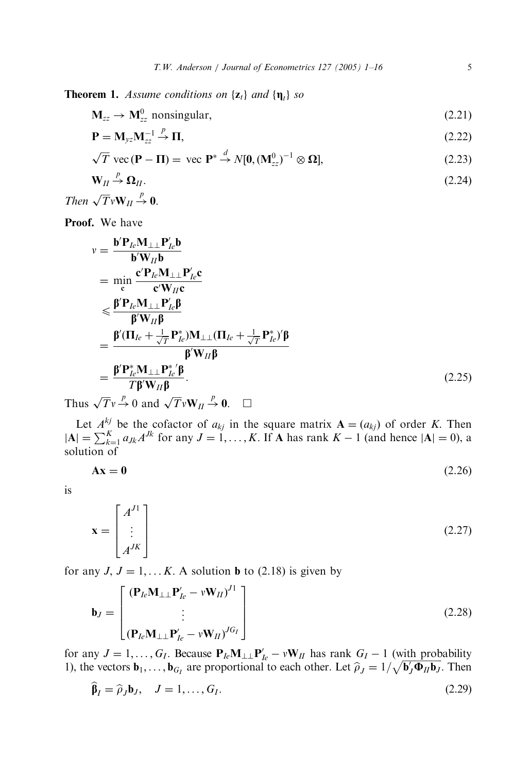**Theorem 1.** Assume conditions on  $\{z_t\}$  and  $\{\eta_t\}$  so

$$
\mathbf{M}_{zz} \to \mathbf{M}_{zz}^0 \text{ nonsingular},\tag{2.21}
$$

$$
\mathbf{P} = \mathbf{M}_{yz} \mathbf{M}_{zz}^{-1} \stackrel{p}{\rightarrow} \mathbf{\Pi},\tag{2.22}
$$

$$
\sqrt{T} \text{ vec } (\mathbf{P} - \Pi) = \text{ vec } \mathbf{P}^* \stackrel{d}{\rightarrow} N[\mathbf{0}, (\mathbf{M}_{zz}^0)^{-1} \otimes \mathbf{\Omega}], \tag{2.23}
$$

$$
\mathbf{W}_{II} \xrightarrow{p} \mathbf{\Omega}_{II}. \tag{2.24}
$$

Then 
$$
\sqrt{T} vW_{II} \stackrel{p}{\rightarrow} 0
$$
.

Proof. We have

$$
v = \frac{\mathbf{b}' \mathbf{P}_{le} \mathbf{M}_{\perp\perp} \mathbf{P}_{le}' \mathbf{b}}{\mathbf{b}' \mathbf{W}_{II} \mathbf{b}}
$$
  
\n
$$
= \min_{\mathbf{c}} \frac{\mathbf{c}' \mathbf{P}_{le} \mathbf{M}_{\perp\perp} \mathbf{P}_{le}' \mathbf{c}}{\mathbf{c}' \mathbf{W}_{II} \mathbf{c}}
$$
  
\n
$$
\leq \frac{\beta' \mathbf{P}_{le} \mathbf{M}_{\perp\perp} \mathbf{P}_{le}' \beta}{\beta' \mathbf{W}_{II} \beta}
$$
  
\n
$$
= \frac{\beta' (\Pi_{le} + \frac{1}{\sqrt{T}} \mathbf{P}_{le}^*) \mathbf{M}_{\perp\perp} (\Pi_{le} + \frac{1}{\sqrt{T}} \mathbf{P}_{le}^*)' \beta}{\beta' \mathbf{W}_{II} \beta}
$$
  
\n
$$
= \frac{\beta' \mathbf{P}_{le}^* \mathbf{M}_{\perp\perp} \mathbf{P}_{le}^* \beta}{T \beta' \mathbf{W}_{II} \beta}.
$$
  
\n(2.25)

Thus  $\sqrt{T}v \stackrel{p}{\rightarrow} 0$  and  $\sqrt{T}vW_{II} \stackrel{p}{\rightarrow} 0$ .  $\Box$ 

Let  $A_{\mu\nu}^{kj}$  be the cofactor of  $a_{kj}$  in the square matrix  $\mathbf{A} = (a_{kj})$  of order K. Then  $|\mathbf{A}| = \sum_{k=1}^{K} a_{jk} A^{jk}$  for any  $J = 1, ..., K$ . If **A** has rank  $K - 1$  (and hence  $|\mathbf{A}| = 0$ ), a solution of

$$
Ax = 0 \tag{2.26}
$$

is

$$
\mathbf{x} = \begin{bmatrix} A^{J1} \\ \vdots \\ A^{JK} \end{bmatrix} \tag{2.27}
$$

for any  $J, J = 1, \dots K$ . A solution **b** to (2.18) is given by

$$
\mathbf{b}_{J} = \begin{bmatrix} (\mathbf{P}_{Ie}\mathbf{M}_{\perp\perp}\mathbf{P}_{Ie}' - v\mathbf{W}_{II})^{J1} \\ \vdots \\ (\mathbf{P}_{Ie}\mathbf{M}_{\perp\perp}\mathbf{P}_{Ie}' - v\mathbf{W}_{II})^{JG_{I}} \end{bmatrix}
$$
(2.28)

for any  $J = 1, ..., G_I$ . Because  $P_{Ie}M_{\perp\perp}P'_{Ie} - vW_{II}$  has rank  $G_I - 1$  (with probability 1), the vectors  $\mathbf{b}_1, \ldots, \mathbf{b}_{G_I}$  are proportional to each other. Let  $\hat{\rho}_J = 1/\sqrt{\mathbf{b}_J'\mathbf{\Phi}_{II}\mathbf{b}_J}$ . Then

$$
\widehat{\beta}_I = \widehat{\rho}_J \mathbf{b}_J, \quad J = 1, \dots, G_I. \tag{2.29}
$$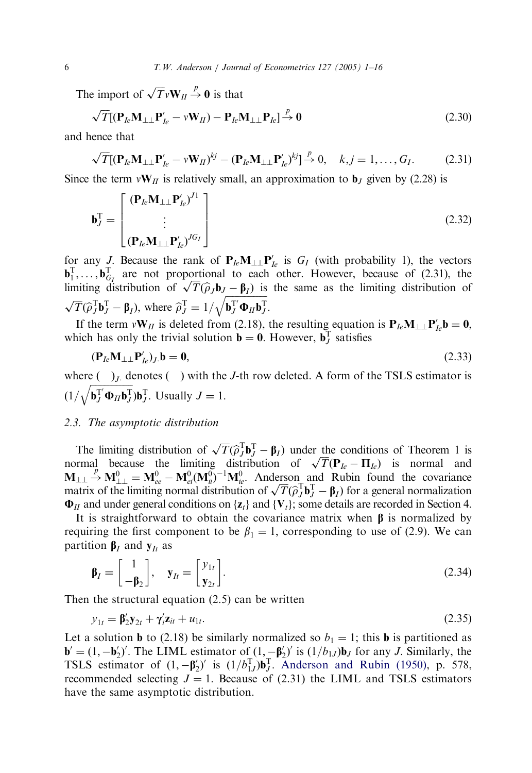The import of  $\sqrt{T}vW_{II} \stackrel{p}{\rightarrow} 0$  is that

$$
\sqrt{T}[(\mathbf{P}_{Ie}\mathbf{M}_{\perp\perp}\mathbf{P}_{Ie}' - v\mathbf{W}_{II}) - \mathbf{P}_{Ie}\mathbf{M}_{\perp\perp}\mathbf{P}_{Ie}] \xrightarrow{p} 0 \tag{2.30}
$$

and hence that

$$
\sqrt{T}[(\mathbf{P}_{le}\mathbf{M}_{\perp\perp}\mathbf{P}_{le}' - v\mathbf{W}_{II})^{kj} - (\mathbf{P}_{le}\mathbf{M}_{\perp\perp}\mathbf{P}_{le}')^{kj}] \xrightarrow{p} 0, \quad k, j = 1, ..., G_I.
$$
 (2.31)

Since the term  $vW_{II}$  is relatively small, an approximation to  $\mathbf{b}_I$  given by (2.28) is

$$
\mathbf{b}_J^{\mathrm{T}} = \begin{bmatrix} (\mathbf{P}_{le}\mathbf{M}_{\perp\perp}\mathbf{P}_{le}')^{J1} \\ \vdots \\ (\mathbf{P}_{le}\mathbf{M}_{\perp\perp}\mathbf{P}_{le}')^{JG_I} \end{bmatrix}
$$
(2.32)

for any J. Because the rank of  $P_{Ie}M_{\perp\perp}P'_{Ie}$  is  $G_I$  (with probability 1), the vectors  $\mathbf{b}_1^{\mathrm{T}}, \ldots, \mathbf{b}_{G_I}^{\mathrm{T}}$  are not proportional to each other. However, because of (2.31), the  $\mathbf{b}_1^T, \dots, \mathbf{b}_{G_f}^T$  are not proportional to each other. However, because of (2.31), the limiting distribution of  $\sqrt{T}(\hat{\rho}_J \mathbf{b}_J - \mathbf{\beta}_I)$  is the same as the limiting distribution of  $\sqrt{T}(\hat{\sigma}^T \mathbf{b}_J^T - 1/\sqrt{\math$  $\sqrt{T}(\hat{\rho}_J^T \mathbf{b}_J^T - \mathbf{\beta}_I)$ , where  $\hat{\rho}_J^T = 1/$  $\frac{\mathbf{p}_I}{\mathbf{b}_J^T \mathbf{\Phi}_H \mathbf{b}_J^T}$  $\tilde{\phantom{a}}$ :

If the term  $vW_{II}$  is deleted from (2.18), the resulting equation is  $P_{Ie}M_{\perp\perp}P'_{Ie}b = 0$ , which has only the trivial solution  $\mathbf{b} = \mathbf{0}$ . However,  $\mathbf{b}_J^T$  satisfies

$$
(\mathbf{P}_{Ie}\mathbf{M}_{\perp\perp}\mathbf{P}'_{Ie})_J.\mathbf{b} = \mathbf{0},\tag{2.33}
$$

where  $\left( \quad \right)$ <sub>J</sub> denotes  $\left( \quad \right)$  with the J-th row deleted. A form of the TSLS estimator is  $(1/$  $\frac{\sum_{j=1}^{N} \sum_{j=1}^{N} a_{j}}{\sum_{j=1}^{N} a_{j}}$  $\frac{1}{\sqrt{2}}$ **. Usually**  $J = 1$ **.** 

#### 2.3. The asymptotic distribution

The limiting distribution of  $\sqrt{T}(\hat{\rho}_J^T \mathbf{b}_J^T - \beta_I)$  under the conditions of Theorem 1 is The limiting distribution of  $\sqrt{I}(\rho_J \mathbf{b}_J - \mathbf{b}_I)$  under the conditions of Theorem 1 is<br>normal because the limiting distribution of  $\sqrt{T}(\mathbf{P}_{Ie} - \mathbf{\Pi}_{Ie})$  is normal and  $M_{\perp\perp} \rightarrow M_{\perp\perp}^0 = M_{ee}^0 - M_{ei}^0 (M_{ii}^0)^{-1} M_{ie}^0$ . Anderson and Rubin found the covariance  $M_{\perp\perp} \to M_{\perp\perp} = M_{ee}^2 - M_{el}^T(M_{\parallel}^T)$   $M_{\parallel}^T$ . Anderson and Kubin found the covariance matrix of the limiting normal distribution of  $\sqrt{T}(\hat{\rho}_J^T \mathbf{b}_J^T - \beta_I)$  for a general normalization  $\Phi_{II}$  and under general conditions on { $\mathbf{z}_t$ } and { $\mathbf{V}_t$ }; some details are recorded in Section 4.

It is straightforward to obtain the covariance matrix when  $\beta$  is normalized by requiring the first component to be  $\beta_1 = 1$ , corresponding to use of (2.9). We can partition  $\beta_I$  and  $y_I$  as

$$
\beta_I = \begin{bmatrix} 1 \\ -\beta_2 \end{bmatrix}, \quad \mathbf{y}_{It} = \begin{bmatrix} y_{1t} \\ \mathbf{y}_{2t} \end{bmatrix}.
$$
 (2.34)

Then the structural equation (2.5) can be w[ritten](#page-15-0)

$$
y_{1t} = \beta'_2 y_{2t} + \gamma'_i z_{it} + u_{1t}.
$$
 (2.35)

Let a solution **b** to (2.18) be similarly normalized so  $b_1 = 1$ ; this **b** is partitioned as  $\mathbf{b}' = (1, -\mathbf{b}'_2)'$ . The LIML estimator of  $(1, -\mathbf{\beta}'_2)'$  is  $(1/b_{1J})\mathbf{b}_J$  for any J. Similarly, the TSLS estimator of  $(1, -\beta'_2)'$  is  $(1/b_{1J}^T)\mathbf{b}_J^T$ . Anderson and Rubin (1950), p. 578, recommended selecting  $J = 1$ . Because of (2.31) the LIML and TSLS estimators have the same asymptotic distribution.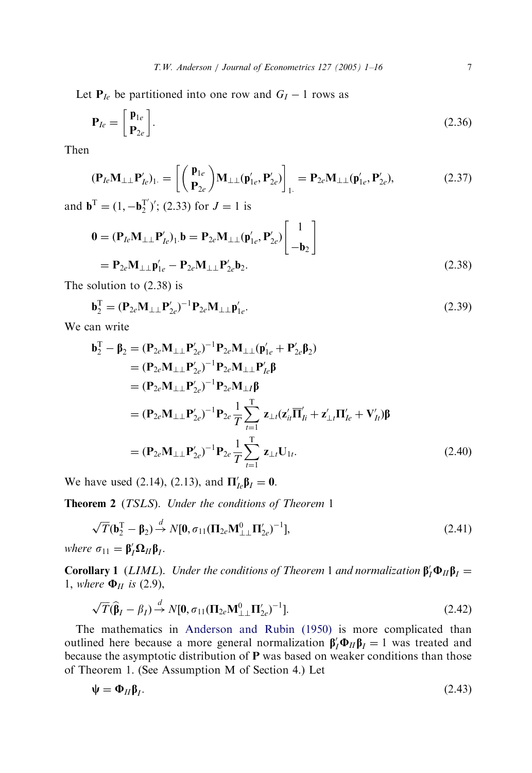Let  $P_{Ie}$  be partitioned into one row and  $G_I - 1$  rows as

$$
\mathbf{P}_{Ie} = \begin{bmatrix} \mathbf{p}_{1e} \\ \mathbf{P}_{2e} \end{bmatrix} . \tag{2.36}
$$

Then

$$
(\mathbf{P}_{Ie}\mathbf{M}_{\perp\perp}\mathbf{P}_{Ie}^{\prime})_{1} = \left[ \begin{pmatrix} \mathbf{p}_{1e} \\ \mathbf{p}_{2e} \end{pmatrix} \mathbf{M}_{\perp\perp}(\mathbf{p}_{1e}^{\prime}, \mathbf{P}_{2e}^{\prime}) \right]_{1} = \mathbf{P}_{2e}\mathbf{M}_{\perp\perp}(\mathbf{p}_{1e}^{\prime}, \mathbf{P}_{2e}^{\prime}),
$$
(2.37)

and  $\mathbf{b}^{\mathrm{T}} = (1, -\mathbf{b}_2^{\mathrm{T}})';$  (2.33) for  $J = 1$  is

$$
0 = (\mathbf{P}_{Ie}\mathbf{M}_{\perp\perp}\mathbf{P}_{Ie}')_{1} \mathbf{b} = \mathbf{P}_{2e}\mathbf{M}_{\perp\perp}(\mathbf{p}_{1e}', \mathbf{P}_{2e}') \begin{bmatrix} 1 \\ -\mathbf{b}_{2} \end{bmatrix}
$$
  
=  $\mathbf{P}_{2e}\mathbf{M}_{\perp\perp}\mathbf{p}_{1e}' - \mathbf{P}_{2e}\mathbf{M}_{\perp\perp}\mathbf{P}_{2e}'\mathbf{b}_{2}.$  (2.38)

The solution to (2.38) is

$$
\mathbf{b}_2^{\mathrm{T}} = (\mathbf{P}_{2e}\mathbf{M}_{\perp\perp}\mathbf{P}_{2e}')^{-1}\mathbf{P}_{2e}\mathbf{M}_{\perp\perp}\mathbf{p}_{1e}'.\tag{2.39}
$$

We can write

$$
\mathbf{b}_{2}^{T} - \mathbf{\beta}_{2} = (\mathbf{P}_{2e}\mathbf{M}_{\perp\perp}\mathbf{P}_{2e}')^{-1}\mathbf{P}_{2e}\mathbf{M}_{\perp\perp}(\mathbf{p}_{1e}'+\mathbf{P}_{2e}'\mathbf{\beta}_{2}) \n= (\mathbf{P}_{2e}\mathbf{M}_{\perp\perp}\mathbf{P}_{2e}')^{-1}\mathbf{P}_{2e}\mathbf{M}_{\perp\perp}\mathbf{P}_{Ie}'\mathbf{\beta} \n= (\mathbf{P}_{2e}\mathbf{M}_{\perp\perp}\mathbf{P}_{2e}')^{-1}\mathbf{P}_{2e}\mathbf{M}_{\perp I}\mathbf{\beta} \n= (\mathbf{P}_{2e}\mathbf{M}_{\perp\perp}\mathbf{P}_{2e}')^{-1}\mathbf{P}_{2e}\frac{1}{T}\sum_{t=1}^{T} \mathbf{z}_{\perp t}(\mathbf{z}_{it}'\overline{\mathbf{\Pi}}_{It}'+\mathbf{z}_{\perp t}'\mathbf{\Pi}_{Ie}'+\mathbf{V}_{It}')\mathbf{\beta} \n= (\mathbf{P}_{2e}\mathbf{M}_{\perp\perp}\mathbf{P}_{2e}')^{-1}\mathbf{P}_{2e}\frac{1}{T}\sum_{t=1}^{T} \mathbf{z}_{\perp t}\mathbf{U}_{1t}.
$$
\n(2.40)

We have used (2.14), (2.13), and  $\Pi'_{Ie} \beta_I = 0$ .

Theorem 2 (TSLS). Under the conditions of Theorem 1

$$
\sqrt{T}(\mathbf{b}_2^{\mathrm{T}} - \mathbf{\beta}_2) \stackrel{d}{\rightarrow} N[\mathbf{0}, \sigma_{11}(\mathbf{\Pi}_{2e}\mathbf{M}_{\perp\perp}^0\mathbf{\Pi}_{2e}')^{-1}],
$$
\n(2.41)

where  $\sigma_{11} = \beta'_I \Omega_{II} \beta_I$ .

**Corollary 1** (*LIML*). Under the conditions of Theorem 1 and normalization  $\beta_I' \Phi_{II} \beta_I =$ 1, where  $\Phi_{II}$  is (2.9),

$$
\sqrt{T}(\widehat{\boldsymbol{\beta}}_I - \boldsymbol{\beta}_I) \stackrel{d}{\rightarrow} N[\mathbf{0}, \sigma_{11}(\Pi_{2e}\mathbf{M}_{\perp\perp}^0 \Pi_{2e}')^{-1}].
$$
\n(2.42)

The mathematics in Anderson and Rubin (1950) is more complicated than outlined here because a more general normalization  $\beta'_I \Phi_{II} \beta_I = 1$  was treated and because the asymptotic distribution of P was based on weaker conditions than those of Theorem 1. (See Assumption M of Section 4.) Let

$$
\Psi = \Phi_{II}\beta_I. \tag{2.43}
$$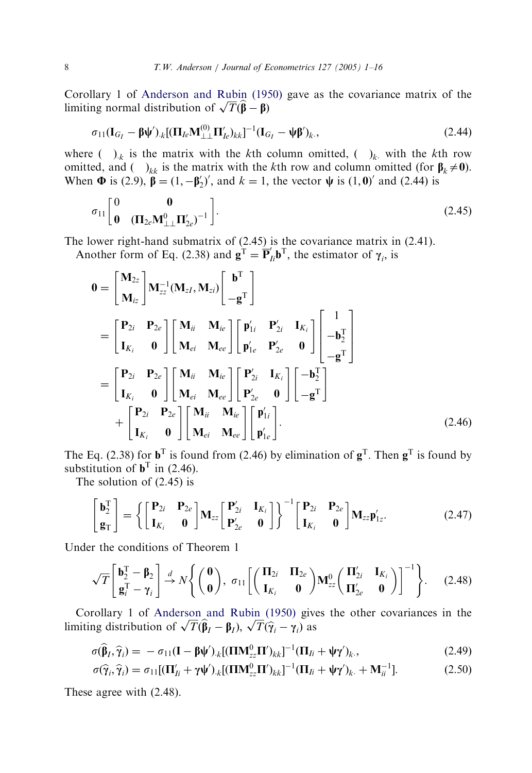Corollary 1 of Anderson and Rubin (1950) gave as the covariance matrix of the Coronary 1 of Anderson and Rubin (19.<br>limiting normal distribution of  $\sqrt{T}(\hat{\beta} - \beta)$ 

$$
\sigma_{11}(\mathbf{I}_{G_I} - \boldsymbol{\beta}\boldsymbol{\psi}')_{.k}[(\boldsymbol{\Pi}_{Ic}\mathbf{M}_{\perp\perp}^{(0)}\boldsymbol{\Pi}_{Ic}')_{kk}]^{-1}(\mathbf{I}_{G_I} - \boldsymbol{\psi}\boldsymbol{\beta}')_{k},
$$
\n(2.44)

where  $( )_k$  is the matrix with the kth column omitted,  $( )_k$  with the kth row omitted, and  $(\,\, )_{kk}$  is the matrix with the kth row and column omitted (for  $\beta_k \neq 0$ ). When  $\Phi$  is (2.9),  $\beta = (1, -\beta'_2)'$ , and  $k = 1$ , the vector  $\psi$  is (1,0)' and (2.44) is

$$
\sigma_{11} \begin{bmatrix} 0 & 0 \\ 0 & (\Pi_{2e} \mathbf{M}_{\perp\perp}^0 \Pi_{2e}')^{-1} \end{bmatrix} . \tag{2.45}
$$

The lower right-hand submatrix of (2.45) is the covariance matrix in (2.41).

Another form of Eq. (2.38) and  $\mathbf{g}^T = \mathbf{P}_{Ii}^T \mathbf{b}^T$ , the estimator of  $\gamma_i$ , is

$$
0 = \begin{bmatrix} \mathbf{M}_{2z} \\ \mathbf{M}_{iz} \end{bmatrix} \mathbf{M}_{zz}^{-1} (\mathbf{M}_{zI}, \mathbf{M}_{zi}) \begin{bmatrix} \mathbf{b}^{T} \\ -\mathbf{g}^{T} \end{bmatrix}
$$
  
\n
$$
= \begin{bmatrix} \mathbf{P}_{2i} & \mathbf{P}_{2e} \\ \mathbf{I}_{K_i} & 0 \end{bmatrix} \begin{bmatrix} \mathbf{M}_{ii} & \mathbf{M}_{ie} \\ \mathbf{M}_{ei} & \mathbf{M}_{ee} \end{bmatrix} \begin{bmatrix} \mathbf{p}'_{1i} & \mathbf{P}'_{2i} & \mathbf{I}_{K_i} \\ \mathbf{p}'_{1e} & \mathbf{P}'_{2e} & 0 \end{bmatrix} \begin{bmatrix} 1 \\ -\mathbf{b}_{2}^{T} \\ -\mathbf{g}^{T} \end{bmatrix}
$$
  
\n
$$
= \begin{bmatrix} \mathbf{P}_{2i} & \mathbf{P}_{2e} \\ \mathbf{I}_{K_i} & 0 \end{bmatrix} \begin{bmatrix} \mathbf{M}_{ii} & \mathbf{M}_{ie} \\ \mathbf{M}_{ei} & \mathbf{M}_{ee} \end{bmatrix} \begin{bmatrix} \mathbf{P}'_{2i} & \mathbf{I}_{K_i} \\ \mathbf{P}'_{2e} & 0 \end{bmatrix} \begin{bmatrix} -\mathbf{b}_{2}^{T} \\ -\mathbf{g}^{T} \end{bmatrix}
$$
  
\n
$$
+ \begin{bmatrix} \mathbf{P}_{2i} & \mathbf{P}_{2e} \\ \mathbf{I}_{K_i} & 0 \end{bmatrix} \begin{bmatrix} \mathbf{M}_{ii} & \mathbf{M}_{ie} \\ \mathbf{M}_{ei} & \mathbf{M}_{ee} \end{bmatrix} \begin{bmatrix} \mathbf{p}'_{1i} \\ \mathbf{p}'_{1e} \end{bmatrix} .
$$
 (2.46)

The Eq. (2.38) for  $\mathbf{b}^T$  is found from (2.46) by elimination of  $\mathbf{g}^T$ . Then  $\mathbf{g}^T$  is found by substitution of  $\mathbf{b}^T$  in (2.46).

The solution of (2.45) is

$$
\begin{bmatrix} \mathbf{b}_2^{\mathrm{T}} \\ \mathbf{g}_{\mathrm{T}} \end{bmatrix} = \left\{ \begin{bmatrix} \mathbf{P}_{2i} & \mathbf{P}_{2e} \\ \mathbf{I}_{K_i} & \mathbf{0} \end{bmatrix} \mathbf{M}_{zz} \begin{bmatrix} \mathbf{P}'_{2i} & \mathbf{I}_{K_i} \\ \mathbf{P}'_{2e} & \mathbf{0} \end{bmatrix} \right\}^{-1} \begin{bmatrix} \mathbf{P}_{2i} & \mathbf{P}_{2e} \\ \mathbf{I}_{K_i} & \mathbf{0} \end{bmatrix} \mathbf{M}_{zz} \mathbf{p}'_{1z}.
$$
 (2.47)

Under the conditi[ons](#page-15-0) [of](#page-15-0) [Theorem](#page-15-0) [1](#page-15-0)

$$
\sqrt{T}\begin{bmatrix} \mathbf{b}_2^{\mathrm{T}} - \mathbf{\beta}_2 \\ \mathbf{g}_i^{\mathrm{T}} - \gamma_i \end{bmatrix} \stackrel{d}{\rightarrow} N\left\{ \begin{pmatrix} \mathbf{0} \\ \mathbf{0} \end{pmatrix}, \sigma_{11} \begin{bmatrix} (\mathbf{\Pi}_{2i} & \mathbf{\Pi}_{2e} \\ \mathbf{I}_{K_i} & \mathbf{0} \end{bmatrix} \mathbf{M}_{zz}^0 (\begin{bmatrix} \mathbf{\Pi}_{2i}' & \mathbf{I}_{K_i} \\ \mathbf{\Pi}_{2e}' & \mathbf{0} \end{bmatrix})^{-1} \right\}.
$$
 (2.48)

Corollary 1 of Anderson and Rubin (1950) gives the other covariances in the Corollary 1 of Anderson and Rubin (1950) give<br>
limiting distribution of  $\sqrt{T}(\hat{\beta}_I - \beta_I)$ ,  $\sqrt{T}(\hat{\gamma}_i - \gamma_i)$  as

$$
\sigma(\widehat{\boldsymbol{\beta}}_I, \widehat{\boldsymbol{\gamma}}_i) = -\sigma_{11}(\mathbf{I} - \boldsymbol{\beta}\boldsymbol{\psi}')_{.k}[(\mathbf{\Pi}\mathbf{M}_{zz}^0\mathbf{\Pi}')_{kk}]^{-1}(\mathbf{\Pi}_{Ii} + \boldsymbol{\psi}\boldsymbol{\gamma}')_{k}.
$$
\n(2.49)

$$
\sigma(\widehat{\gamma}_i, \widehat{\gamma}_i) = \sigma_{11}[(\mathbf{\Pi}'_{Ii} + \gamma\psi')_{.k}[(\mathbf{\Pi}\mathbf{M}_{zz}^0\mathbf{\Pi}')_{kk}]^{-1}(\mathbf{\Pi}_{Ii} + \psi\gamma')_{k.} + \mathbf{M}_{ii}^{-1}].
$$
\n(2.50)

These agree with (2.48).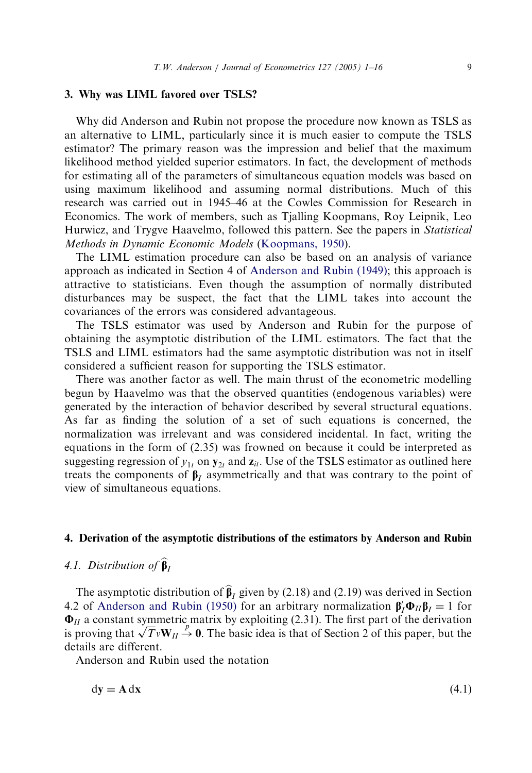#### 3. Why was LIML favored over TSLS?

Why did Anderson and Rubin not propose the procedure now known as TSLS as an alternative to LIML, particularly since it is much easier to compute the TSLS estimator? The primary reason was the impression and belief that the maximum likelihood method yielded superior estimators. In fact, the development of methods for estimating all of the parameters of s[imultaneous equa](#page-15-0)tion models was based on using maximum likelihood and assuming normal distributions. Much of this research was carried out in 1945–46 [at the Cowles Commission](#page-15-0) for Research in Economics. The work of members, such as Tjalling Koopmans, Roy Leipnik, Leo Hurwicz, and Trygve Haavelmo, followed this pattern. See the papers in Statistical Methods in Dynamic Economic Models (Koopmans, 1950).

The LIML estimation procedure can also be based on an analysis of variance approach as indicated in Section 4 of Anderson and Rubin (1949); this approach is attractive to statisticians. Even though the assumption of normally distributed disturbances may be suspect, the fact that the LIML takes into account the covariances of the errors was considered advantageous.

The TSLS estimator was used by Anderson and Rubin for the purpose of obtaining the asymptotic distribution of the LIML estimators. The fact that the TSLS and LIML estimators had the same asymptotic distribution was not in itself considered a sufficient reason for supporting the TSLS estimator.

There was another factor as well. The main thrust of the econometric modelling begun by Haavelmo was that the observed quantities (endogenous variables) were generated by the interaction of behavior described by several structural equations. As far as finding the solution of a set of such equations is concerned, the normalization was irrelevant and was considered incidental. In fact, writing the equations in the form of (2.35) was frowned on because it could be interpreted as suggesting regression of  $y_{1t}$  on  $y_{2t}$  and  $z_{it}$ . Use of the TSLS estimator as outlined here treats the components of  $\beta$ <sub>I</sub> asymmetrically and that was contrary to the point of view of simultaneous equations.

### 4. Der[ivation of the asymptotic distr](#page-15-0)ibutions of the estimators by Anderson and Rubin

## 4.1. Distribution of  $\widehat{\beta}_I$

The asymptotic distribution of  $\hat{\beta}_I$  given by (2.18) and (2.19) was derived in Section 4.2 of Anderson and Rubin (1950) for an arbitrary normalization  $\beta_I \Phi_{II} \beta_I = 1$  for  $\Phi_{II}$  a constant symmetric matrix by exploiting (2.31). The first part of the derivation  $\mathbf{v}_H$  a constant symmetric matrix by exploiting (2.31). The first part of the derivation is proving that  $\sqrt{T}v\mathbf{W}_H \stackrel{P}{\rightarrow} \mathbf{0}$ . The basic idea is that of Section 2 of this paper, but the details are different.

Anderson and Rubin used the notation

$$
dy = A dx \tag{4.1}
$$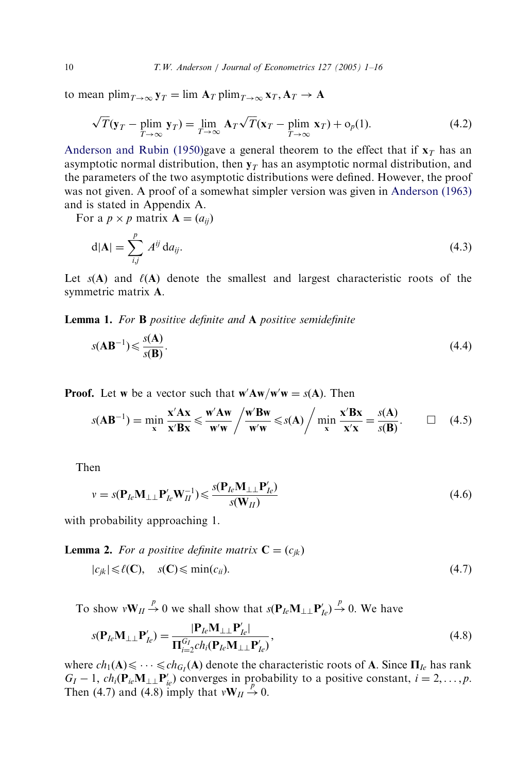to mean plim $_{T\rightarrow\infty}$   $\mathbf{y}_T = \lim_{T\rightarrow\infty} \mathbf{A}_T$  plim $_{T\rightarrow\infty}$   $\mathbf{x}_T$ ,  $\mathbf{A}_T \rightarrow \mathbf{A}$ 

$$
\sqrt{T}(\mathbf{y}_T - \text{plim}_{T \to \infty} \mathbf{y}_T) = \lim_{T \to \infty} \mathbf{A}_T \sqrt{T}(\mathbf{x}_T - \text{plim}_{T \to \infty} \mathbf{x}_T) + o_p(1). \tag{4.2}
$$

Anderson and Rubin (1950)gave a general theorem to the effect that if  $x_T$  has an asymptotic normal distribution, then  $y_T$  has an asymptotic normal distribution, and the parameters of the two asymptotic distributions were defined. However, the proof was not given. A proof of a somewhat simpler version was given in Anderson (1963) and is stated in Appendix A.

For a  $p \times p$  matrix  $\mathbf{A} = (a_{ii})$ 

$$
d|A| = \sum_{i,j}^{p} A^{ij} da_{ij}.
$$
\n(4.3)

Let  $s(A)$  and  $\ell(A)$  denote the smallest and largest characteristic roots of the symmetric matrix A:

Lemma 1. For **B** positive definite and **A** positive semidefinite

$$
s(\mathbf{AB}^{-1}) \leqslant \frac{s(\mathbf{A})}{s(\mathbf{B})}.\tag{4.4}
$$

**Proof.** Let w be a vector such that  $w'Aw/w'w = s(A)$ . Then

$$
s(\mathbf{AB}^{-1}) = \min_{\mathbf{x}} \frac{\mathbf{x}' \mathbf{A} \mathbf{x}}{\mathbf{x}' \mathbf{B} \mathbf{x}} \le \frac{\mathbf{w}' \mathbf{A} \mathbf{w}}{\mathbf{w}' \mathbf{w}} / \frac{\mathbf{w}' \mathbf{B} \mathbf{w}}{\mathbf{w}' \mathbf{w}} \le s(\mathbf{A}) / \min_{\mathbf{x}} \frac{\mathbf{x}' \mathbf{B} \mathbf{x}}{\mathbf{x}' \mathbf{x}} = \frac{s(\mathbf{A})}{s(\mathbf{B})}. \qquad \Box \quad (4.5)
$$

Then

$$
v = s(\mathbf{P}_{Ie}\mathbf{M}_{\perp\perp}\mathbf{P}_{Ie}'\mathbf{W}_{II}^{-1}) \leqslant \frac{s(\mathbf{P}_{Ie}\mathbf{M}_{\perp\perp}\mathbf{P}_{Ie}')}{s(\mathbf{W}_{II})}
$$
(4.6)

with probability approaching 1.

**Lemma 2.** For a positive definite matrix  $C = (c_{jk})$ 

$$
|c_{jk}| \leq \ell(C), \quad s(C) \leq \min(c_{ii}). \tag{4.7}
$$

To show  $vW_{II} \stackrel{p}{\rightarrow} 0$  we shall show that  $s(P_{Ie}M_{\perp\perp}P'_{Ie}) \stackrel{p}{\rightarrow} 0$ . We have

$$
s(\mathbf{P}_{Ie}\mathbf{M}_{\perp\perp}\mathbf{P}_{Ie}') = \frac{|\mathbf{P}_{Ie}\mathbf{M}_{\perp\perp}\mathbf{P}_{Ie}'|}{\Pi_{i=2}^{G_I} ch_i(\mathbf{P}_{Ie}\mathbf{M}_{\perp\perp}\mathbf{P}_{Ie}')},
$$
\n(4.8)

where  $ch_1(A) \leq \cdots \leq ch_{G_I}(A)$  denote the characteristic roots of A. Since  $\Pi_{Ie}$  has rank  $G_I - 1$ ,  $ch_i(\mathbf{P}_{ie}\mathbf{M}_{\perp\perp}\mathbf{P}_{ie}')$  converges in probability to a positive constant,  $i = 2, ..., p$ . Then (4.7) and (4.8) imply that  $vW_H \rightarrow 0$ .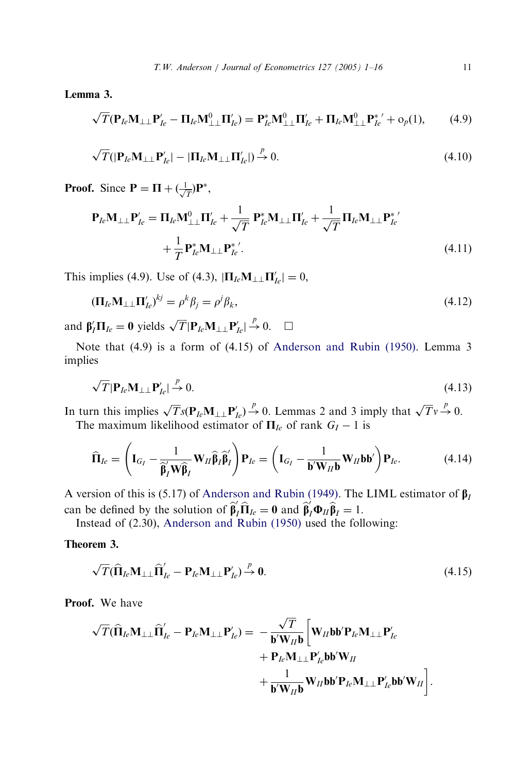Lemma 3.

$$
\sqrt{T}(\mathbf{P}_{Ie}\mathbf{M}_{\perp\perp}\mathbf{P}_{Ie}' - \mathbf{\Pi}_{Ie}\mathbf{M}_{\perp\perp}^0\mathbf{\Pi}_{Ie}') = \mathbf{P}_{Ie}^* \mathbf{M}_{\perp\perp}^0 \mathbf{\Pi}_{Ie}' + \mathbf{\Pi}_{Ie}\mathbf{M}_{\perp\perp}^0 \mathbf{P}_{Ie}^{*\prime} + o_p(1),\tag{4.9}
$$

$$
\sqrt{T}(|\mathbf{P}_{Ie}\mathbf{M}_{\perp\perp}\mathbf{P}_{Ie}^{\prime}| - |\mathbf{\Pi}_{Ie}\mathbf{M}_{\perp\perp}\mathbf{\Pi}_{Ie}^{\prime}| \overset{p}{\to} 0. \tag{4.10}
$$

**Proof.** Since  $P = \Pi + (\frac{1}{\sqrt{T}})P^*$ ,

$$
\mathbf{P}_{le}\mathbf{M}_{\perp\perp}\mathbf{P}_{le}' = \mathbf{\Pi}_{le}\mathbf{M}_{\perp\perp}^0\mathbf{\Pi}_{le}' + \frac{1}{\sqrt{T}}\mathbf{P}_{le}^*\mathbf{M}_{\perp\perp}\mathbf{\Pi}_{le}' + \frac{1}{\sqrt{T}}\mathbf{\Pi}_{le}\mathbf{M}_{\perp\perp}\mathbf{P}_{le}^{*'} + \frac{1}{T}\mathbf{P}_{le}^*\mathbf{M}_{\perp\perp}\mathbf{P}_{le}^{*'}.
$$
\n(4.11)

This implies (4.9). Use of (4.3),  $|\mathbf{\Pi}_{Ie} \mathbf{M}_{\perp\perp} \mathbf{\Pi}'_{Ie}| = 0$ ,

$$
(\Pi_{Ie}\mathbf{M}_{\perp\perp}\Pi'_{Ie})^{kj} = \rho^k \beta_j = \rho^j \beta_k, \tag{4.12}
$$

and  $\beta'_I \Pi_{Ie} = 0$  yields  $\sqrt{T} |\mathbf{P}_{Ie} \mathbf{M}_{\perp\perp} \mathbf{P}'_{Ie}| \stackrel{p}{\rightarrow} 0$ .  $\Box$ 

Note that (4.9) is a form of (4.15) of Anderson and Rubin (1950). Lemma 3 implies

$$
\sqrt{T}|\mathbf{P}_{Ie}\mathbf{M}_{\perp\perp}\mathbf{P}_{Ie}'| \stackrel{p}{\to} 0. \tag{4.13}
$$

In turn this implies  $\sqrt{T} s(\mathbf{P}_{Ie} \mathbf{M}_{\perp\perp} \mathbf{P}'_{Ie}) \stackrel{p}{\rightarrow} 0$ . Lemmas 2 and 3 imply that  $\sqrt{T} v \stackrel{p}{\rightarrow} 0$ . The maximum likelihood [estimator of](#page-15-0)  $\Pi_{Ie}$  of rank  $G_I - 1$  is

$$
\widehat{\mathbf{\Pi}}_{Ie} = \left(\mathbf{I}_{G_I} - \frac{1}{\widehat{\beta}_I \mathbf{W} \widehat{\beta}_I} \mathbf{W}_{II} \widehat{\beta}_I \widehat{\beta}_I'\right) \mathbf{P}_{Ie} = \left(\mathbf{I}_{G_I} - \frac{1}{\mathbf{b}' \mathbf{W}_{II} \mathbf{b}} \mathbf{W}_{II} \mathbf{b} \mathbf{b}'\right) \mathbf{P}_{Ie}.
$$
\n(4.14)

A version of this is (5.17) of Anderson and Rubin (1949). The LIML estimator of  $\beta_I$ can be defined by the solution of  $\hat{\beta}'_I \hat{\Pi}_{Ie} = 0$  and  $\hat{\beta}'_I \Phi_{II} \hat{\beta}_I = 1$ .

Instead of (2.30), Anderson and Rubin (1950) used the following:

Theorem 3.

$$
\sqrt{T}(\widehat{\mathbf{H}}_{Ie}\mathbf{M}_{\perp\perp}\widehat{\mathbf{H}}'_{Ie} - \mathbf{P}_{Ie}\mathbf{M}_{\perp\perp}\mathbf{P}'_{Ie}) \xrightarrow{p} \mathbf{0}.
$$
 (4.15)

Proof. We have

$$
\begin{aligned}\n\sqrt{T}(\widehat{\mathbf{\Pi}}_{le}\mathbf{M}_{\perp\perp}\widehat{\mathbf{\Pi}}_{le}' - \mathbf{P}_{le}\mathbf{M}_{\perp\perp}\mathbf{P}_{le}') &= -\frac{\sqrt{T}}{\mathbf{b}'\mathbf{W}_{II}\mathbf{b}} \bigg[\mathbf{W}_{II}\mathbf{b}\mathbf{b}'\mathbf{P}_{le}\mathbf{M}_{\perp\perp}\mathbf{P}_{le}'\\
&+ \mathbf{P}_{le}\mathbf{M}_{\perp\perp}\mathbf{P}_{le}'\mathbf{b}\mathbf{b}'\mathbf{W}_{II}\\
&+ \frac{1}{\mathbf{b}'\mathbf{W}_{II}\mathbf{b}}\mathbf{W}_{II}\mathbf{b}\mathbf{b}'\mathbf{P}_{le}\mathbf{M}_{\perp\perp}\mathbf{P}_{le}'\mathbf{b}\mathbf{b}'\mathbf{W}_{II}\bigg].\n\end{aligned}
$$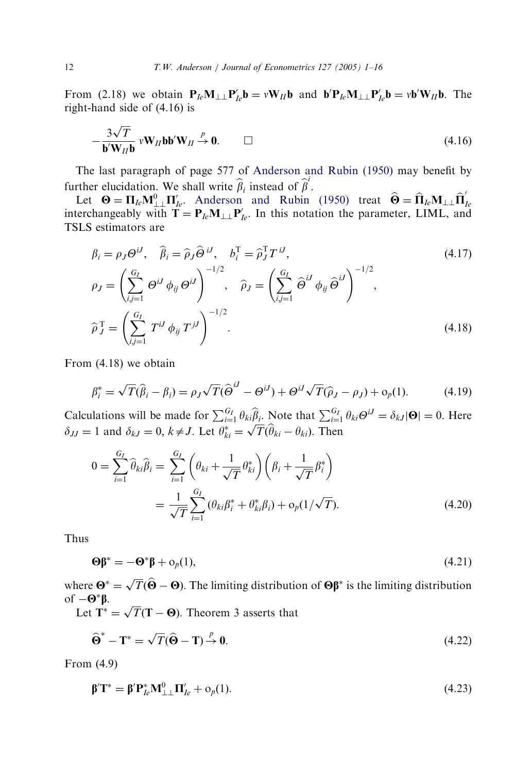From (2.18) we obtain  $P_{Ie}M_{\perp\perp}P'_{Ie}b = vW_{II}b$  [and](#page-15-0)  $b'P_{Ie}M_{\perp\perp}P'_{Ie}b = v b'W_{II}b$ . The right-hand side of (4.16) is

$$
-\frac{3\sqrt{T}}{b'W_{II}b}vW_{II}bb'W_{II}\stackrel{p}{\rightarrow}0.\qquad \Box \qquad (4.16)
$$

The last paragraph of page 577 of Anderson and Rubin (1950) may benefit by further elucidation. We shall write  $\hat{\beta}_i$  instead of  $\hat{\beta}^i$ .

Let  $\Theta = \Pi_{Ie} M_{\perp\perp}^{\dagger} \Pi'_{Ie}$ . Anderson and Rubin (1950) treat  $\widehat{\Theta} = \widehat{\Pi}_{Ie} M_{\perp\perp} \widehat{\Pi}'_{Ie}$ <br>interchangeably with  $\mathbf{T} = \mathbf{P}_{Ie} M_{\perp\perp} \mathbf{P}'_{Ie}$ . In this notation the parameter, LIML, and TSLS estimators are

$$
\beta_i = \rho_J \Theta^{iJ}, \quad \widehat{\beta}_i = \widehat{\rho}_J \widehat{\Theta}^{iJ}, \quad b_i^{\mathrm{T}} = \widehat{\rho}_J^{\mathrm{T}} T^{iJ},
$$
\n
$$
\rho_J = \left( \sum_{i,j=1}^{G_I} \Theta^{iJ} \phi_{ij} \Theta^{iJ} \right)^{-1/2}, \quad \widehat{\rho}_J = \left( \sum_{i,j=1}^{G_I} \widehat{\Theta}^{iJ} \phi_{ij} \widehat{\Theta}^{iJ} \right)^{-1/2},
$$
\n
$$
\widehat{\rho}_J^{\mathrm{T}} = \left( \sum_{i,j=1}^{G_I} T^{iJ} \phi_{ij} T^{jJ} \right)^{-1/2}.
$$
\n(4.18)

From (4.18) we obtain

$$
\beta_i^* = \sqrt{T}(\widehat{\beta}_i - \beta_i) = \rho_J \sqrt{T}(\widehat{\Theta}^{iJ} - \Theta^{iJ}) + \Theta^{iJ} \sqrt{T}(\widehat{\rho}_J - \rho_J) + o_p(1).
$$
 (4.19)

Calculations will be made for  $\sum_{i=1}^{G_I} \theta_{ki} \widehat{\beta}_i$ . Note that  $\sum_{i=1}^{G_I} \theta_{ki} \Theta^i = \delta_{kJ} |\Theta| = 0$ . Here Calculations will be made for  $\sum_{i=1}^{J} \frac{\partial k_i p_i}{\partial x_i}$ . Note that  $\sum_{i=1}^{J} \delta_{IJ} = 1$  and  $\delta_{kJ} = 0$ ,  $k \neq J$ . Let  $\theta_{ki}^* = \sqrt{T}(\hat{\theta}_{ki} - \theta_{ki})$ . Then

$$
0 = \sum_{i=1}^{G_I} \hat{\theta}_{ki} \hat{\beta}_i = \sum_{i=1}^{G_I} \left( \theta_{ki} + \frac{1}{\sqrt{T}} \theta_{ki}^* \right) \left( \beta_i + \frac{1}{\sqrt{T}} \beta_i^* \right)
$$
  
= 
$$
\frac{1}{\sqrt{T}} \sum_{i=1}^{G_I} (\theta_{ki} \beta_i^* + \theta_{ki}^* \beta_i) + o_p(1/\sqrt{T}).
$$
 (4.20)

Thus

$$
\mathbf{\Theta}\mathbf{\beta}^* = -\mathbf{\Theta}^*\mathbf{\beta} + \mathbf{o}_p(1),\tag{4.21}
$$

where  $\mathbf{\Theta}^* = \sqrt{T}(\hat{\mathbf{\Theta}} - \mathbf{\Theta})$ . The limiting distribution of  $\mathbf{\Theta} \boldsymbol{\beta}^*$  is the limiting distribution of  $-\mathbf{\Theta}^*\beta$ .

 $-\mathbf{\Theta}^T \mathbf{p}$ .<br>Let  $\mathbf{T}^* = \sqrt{T}(\mathbf{T} - \mathbf{\Theta})$ . Theorem 3 asserts that

$$
\widehat{\Theta}^* - \mathbf{T}^* = \sqrt{T}(\widehat{\Theta} - \mathbf{T}) \stackrel{p}{\rightarrow} \mathbf{0}.
$$
 (4.22)

From (4.9)

$$
\mathbf{\beta}'\mathbf{T}^* = \mathbf{\beta}'\mathbf{P}_{le}^*\mathbf{M}_{\perp\perp}^0\mathbf{\Pi}_{le}' + \mathbf{o}_p(1). \tag{4.23}
$$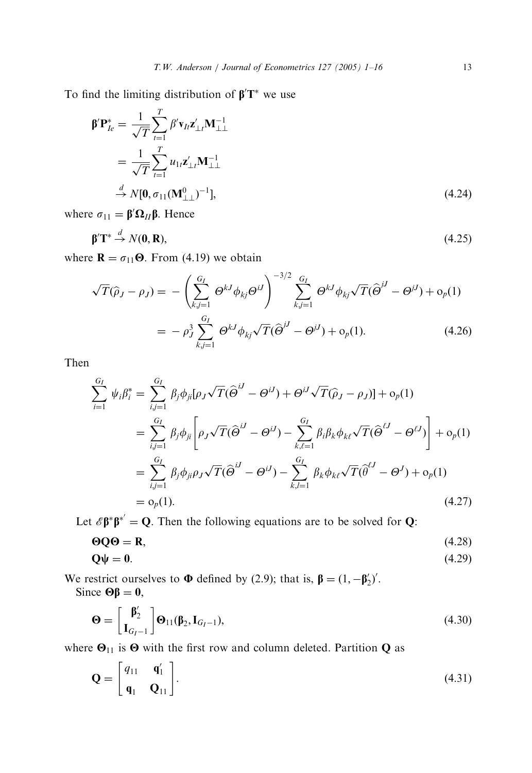To find the limiting distribution of  $\beta' T^*$  we use

$$
\beta' \mathbf{P}_{Ie}^{*} = \frac{1}{\sqrt{T}} \sum_{t=1}^{T} \beta' \mathbf{v}_{It} \mathbf{z}_{\perp t}' \mathbf{M}_{\perp \perp}^{-1}
$$
  
= 
$$
\frac{1}{\sqrt{T}} \sum_{t=1}^{T} u_{1t} \mathbf{z}_{\perp t}' \mathbf{M}_{\perp \perp}^{-1}
$$
  

$$
\stackrel{d}{\rightarrow} N[\mathbf{0}, \sigma_{11}(\mathbf{M}_{\perp \perp}^{0})^{-1}], \qquad (4.24)
$$

where  $\sigma_{11} = \beta' \Omega_{II} \beta$ . Hence

$$
\beta' \mathbf{T}^* \stackrel{d}{\rightarrow} N(\mathbf{0}, \mathbf{R}),\tag{4.25}
$$

where  $\mathbf{R} = \sigma_{11}\mathbf{\Theta}$ . From (4.19) we obtain

$$
\sqrt{T}(\hat{\rho}_J - \rho_J) = -\left(\sum_{k,j=1}^{G_I} \Theta^{kJ} \phi_{kj} \Theta^{iJ}\right)^{-3/2} \sum_{k,j=1}^{G_I} \Theta^{kJ} \phi_{kj} \sqrt{T}(\hat{\Theta}^{jJ} - \Theta^{jJ}) + o_p(1)
$$

$$
= -\rho_J^3 \sum_{k,j=1}^{G_I} \Theta^{kJ} \phi_{kj} \sqrt{T}(\hat{\Theta}^{jJ} - \Theta^{jJ}) + o_p(1). \tag{4.26}
$$

Then

$$
\sum_{i=1}^{G_I} \psi_i \beta_i^* = \sum_{i,j=1}^{G_I} \beta_j \phi_{ji} [\rho_J \sqrt{T} (\widehat{\Theta}^{iJ} - \Theta^{iJ}) + \Theta^{iJ} \sqrt{T} (\widehat{\rho}_J - \rho_J)] + o_p(1)
$$
  
\n
$$
= \sum_{i,j=1}^{G_I} \beta_j \phi_{ji} \left[ \rho_J \sqrt{T} (\widehat{\Theta}^{iJ} - \Theta^{iJ}) - \sum_{k,\ell=1}^{G_I} \beta_i \beta_k \phi_{k\ell} \sqrt{T} (\widehat{\Theta}^{iJ} - \Theta^{iJ}) \right] + o_p(1)
$$
  
\n
$$
= \sum_{i,j=1}^{G_I} \beta_j \phi_{ji} \rho_J \sqrt{T} (\widehat{\Theta}^{iJ} - \Theta^{iJ}) - \sum_{k,l=1}^{G_I} \beta_k \phi_{k\ell} \sqrt{T} (\widehat{\Theta}^{iJ} - \Theta^{J}) + o_p(1)
$$
  
\n
$$
= o_p(1).
$$
 (4.27)

Let  $\mathscr{E} \beta^* \beta^* = Q$ . Then the following equations are to be solved for Q:

$$
\Theta Q \Theta = \mathbf{R},\tag{4.28}
$$

$$
Q\psi = 0. \tag{4.29}
$$

We restrict ourselves to  $\Phi$  defined by (2.9); that is,  $\beta = (1, -\beta'_2)'$ . Since  $\Theta \beta = 0$ ,

$$
\mathbf{\Theta} = \begin{bmatrix} \mathbf{\beta}'_2 \\ \mathbf{I}_{G_I-1} \end{bmatrix} \mathbf{\Theta}_{11}(\mathbf{\beta}_2, \mathbf{I}_{G_I-1}),
$$
\n(4.30)

where  $\Theta_{11}$  is  $\Theta$  with the first row and column deleted. Partition Q as

$$
\mathbf{Q} = \begin{bmatrix} q_{11} & \mathbf{q}'_1 \\ \mathbf{q}_1 & \mathbf{Q}_{11} \end{bmatrix} . \tag{4.31}
$$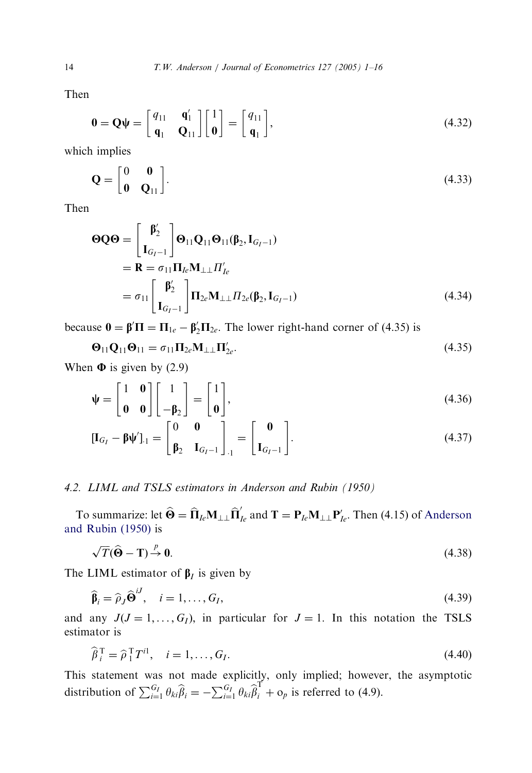Then

$$
\mathbf{0} = \mathbf{Q}\boldsymbol{\psi} = \begin{bmatrix} q_{11} & \mathbf{q}'_1 \\ \mathbf{q}_1 & \mathbf{Q}_{11} \end{bmatrix} \begin{bmatrix} 1 \\ \mathbf{0} \end{bmatrix} = \begin{bmatrix} q_{11} \\ \mathbf{q}_1 \end{bmatrix},\tag{4.32}
$$

which implies

$$
\mathbf{Q} = \begin{bmatrix} 0 & \mathbf{0} \\ \mathbf{0} & \mathbf{Q}_{11} \end{bmatrix} . \tag{4.33}
$$

Then

$$
\begin{aligned} \n\boldsymbol{\Theta} \boldsymbol{Q} \boldsymbol{\Theta} &= \begin{bmatrix} \boldsymbol{\beta}'_2 \\ \mathbf{I}_{G_I-1} \end{bmatrix} \boldsymbol{\Theta}_{11} \boldsymbol{Q}_{11} \boldsymbol{\Theta}_{11} (\boldsymbol{\beta}_2, \mathbf{I}_{G_I-1}) \\ \n&= \mathbf{R} = \sigma_{11} \boldsymbol{\Pi}_{Ie} \mathbf{M}_{\perp \perp} \boldsymbol{\Pi}'_{Ie} \\ \n&= \sigma_{11} \begin{bmatrix} \boldsymbol{\beta}'_2 \\ \mathbf{I}_{G_I-1} \end{bmatrix} \boldsymbol{\Pi}_{2e} \mathbf{M}_{\perp \perp} \boldsymbol{\Pi}_{2e} (\boldsymbol{\beta}_2, \mathbf{I}_{G_I-1}) \n\end{aligned} \tag{4.34}
$$

because  $\mathbf{0} = \mathbf{\beta}' \mathbf{\Pi} = \mathbf{\Pi}_{1e} - \mathbf{\beta}'_2 \mathbf{\Pi}_{2e}$ . The lower right-hand corner of (4.35) is

$$
\mathbf{\Theta}_{11}\mathbf{Q}_{11}\mathbf{\Theta}_{11} = \sigma_{11}\mathbf{\Pi}_{2e}\mathbf{M}_{\perp\perp}\mathbf{\Pi}'_{2e}.
$$
\n(4.35)

When  $\Phi$  is given by (2.9)

$$
\Psi = \begin{bmatrix} 1 & \mathbf{0} \\ \mathbf{0} & \mathbf{0} \end{bmatrix} \begin{bmatrix} 1 \\ -\beta_2 \end{bmatrix} = \begin{bmatrix} 1 \\ \mathbf{0} \end{bmatrix},
$$
(4.36)

$$
\left[\mathbf{I}_{G_{I}} - \boldsymbol{\beta} \boldsymbol{\psi}'\right]_{\cdot 1} = \begin{bmatrix} 0 & 0 \\ \boldsymbol{\beta}_{2} & \mathbf{I}_{G_{I}-1} \end{bmatrix}_{\cdot 1} = \begin{bmatrix} 0 \\ \mathbf{I}_{G_{I}-1} \end{bmatrix} . \tag{4.37}
$$

## 4.2. LIML and TSLS estimators in Anderson and Rubin (1950)

To summarize: let  $\widehat{\Theta} = \widehat{\Pi}_{Ie} \mathbf{M}_{\perp\perp} \widehat{\Pi}'_{Ie}$  and  $\mathbf{T} = \mathbf{P}_{Ie} \mathbf{M}_{\perp\perp} \mathbf{P}'_{Ie}$ . Then (4.15) of Anderson and Rubin (1950) is

$$
\sqrt{T}(\widehat{\mathbf{\Theta}} - \mathbf{T}) \stackrel{p}{\rightarrow} \mathbf{0}.\tag{4.38}
$$

The LIML estimator of  $\beta_I$  is given by

$$
\widehat{\beta}_i = \widehat{\rho}_J \widehat{\Theta}^{iJ}, \quad i = 1, \dots, G_I,
$$
\n(4.39)

and any  $J(J = 1, ..., G_I)$ , in particular for  $J = 1$ . In this notation the TSLS estimator is

$$
\widehat{\beta}_i^{\mathrm{T}} = \widehat{\rho}_1^{\mathrm{T}} T^{i1}, \quad i = 1, \dots, G_I. \tag{4.40}
$$

This statement was not made explicitly, only implied; however, the asymptotic distribution of  $\sum_{i=1}^{G_I} \theta_{ki} \hat{\beta}_i = -\sum_{i=1}^{G_I} \theta_{ki} \hat{\beta}_i^{\text{T}} + o_p$  is referred to (4.9).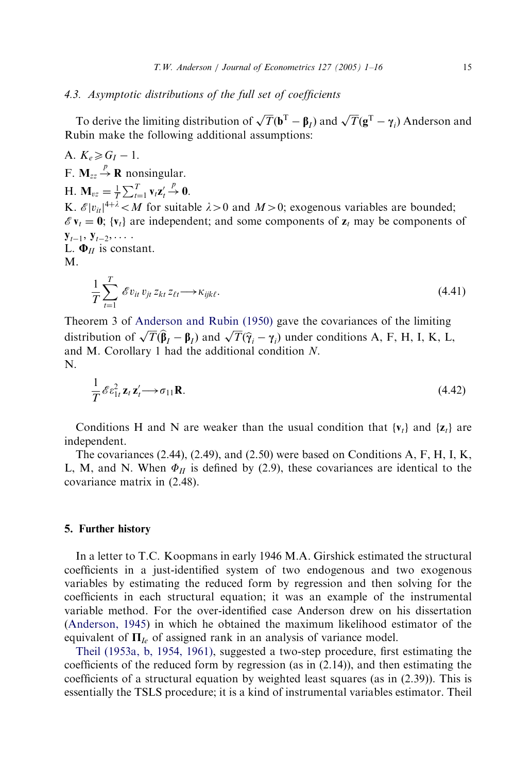### 4.3. Asymptotic distributions of the full set of coefficients

To derive the limiting distribution of  $\sqrt{T}(\mathbf{b}^T - \mathbf{\beta}_I)$  and  $\sqrt{T}(\mathbf{g}^T - \gamma_i)$  Anderson and Rubin make the following additional assumptions:

A.  $K_e \ge G_I - 1$ .

F.  $M_{zz} \stackrel{p}{\rightarrow} R$  nonsingular.

H.  $\mathbf{M}_{vz} = \frac{1}{T} \sum_{t=1}^{T} \mathbf{v}_t \mathbf{z}_t' \stackrel{p}{\rightarrow} \mathbf{0}$ .

K.  $\mathscr{E}|v_{ii}|^{4+\lambda}$  < M for suitable  $\lambda > 0$  and  $M > 0$ ; exogenous variables are bounded;  $\mathscr{E}v_t = 0$ ; { $v_t$ } are independent; and some components of  $z_t$  may be components of  ${\bf y}_{t-1},\, {\bf y}_{t-2},\, \ldots$ L.  $\Phi$ *II* is cons[tant.](#page-15-0)

M.

$$
\frac{1}{T} \sum_{t=1}^{T} \mathcal{E} v_{it} v_{jt} z_{kt} z_{\ell t} \longrightarrow \kappa_{ijk\ell}.
$$
\n(4.41)

Theorem 3 of Anderson and Rubin (1950) gave the covariances of the limiting distribution of  $\sqrt{T}(\hat{\beta}_I - \beta_I)$  and  $\sqrt{T}(\hat{\gamma}_I - \gamma_I)$  under conditions A, F, H, I, K, L, and M. Corollary 1 had the additional condition N. N.

$$
\frac{1}{T} \mathcal{E} \varepsilon_{1t}^2 \mathbf{z}_t \mathbf{z}_t' \longrightarrow \sigma_{11} \mathbf{R}.
$$
\n(4.42)

Conditions H and N are weaker than the usual condition that  $\{v_t\}$  and  $\{z_t\}$  are independent.

The covariances  $(2.44)$ ,  $(2.49)$ , and  $(2.50)$  were based on Conditions A, F, H, I, K, L, M, and N. When  $\Phi_{II}$  is defined by (2.9), these covariances are identical to the covariance matrix in (2.48).

## 5. Further history

[In a letter to T.](#page-15-0)C. Koopmans in early 1946 M.A. Girshick estimated the structural coefficients in a just-identified system of two endogenous and two exogenous va[riables by estimating the re](#page-15-0)duced form by regression and then solving for the coefficients in each structural equation; it was an example of the instrumental variable method. For the over-identified case Anderson drew on his dissertation (Anderson, 1945) in which he obtained the maximum likelihood estimator of the equivalent of  $\Pi_{Ie}$  of assigned rank in an analysis of variance model.

Theil (1953a, b, 1954, 1961), suggested a two-step procedure, first estimating the coefficients of the reduced form by regression (as in  $(2.14)$ ), and then estimating the coefficients of a structural equation by weighted least squares (as in (2.39)). This is essentially the TSLS procedure; it is a kind of instrumental variables estimator. Theil